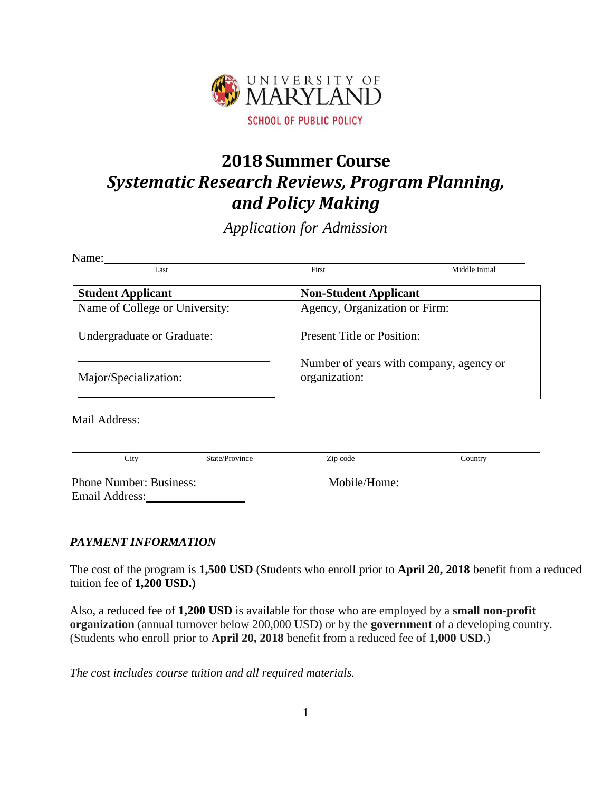

# **2018 Summer Course** *Systematic Research Reviews, Program Planning, and Policy Making*

# *Application for Admission*

| Middle Initial                          |  |  |  |
|-----------------------------------------|--|--|--|
|                                         |  |  |  |
|                                         |  |  |  |
| <b>Non-Student Applicant</b>            |  |  |  |
| Agency, Organization or Firm:           |  |  |  |
| <b>Present Title or Position:</b>       |  |  |  |
| Number of years with company, agency or |  |  |  |
|                                         |  |  |  |

Mail Address:

 $\overline{a}$ 

| City                           | State/Province | Zip code     | Country |  |
|--------------------------------|----------------|--------------|---------|--|
| <b>Phone Number: Business:</b> |                | Mobile/Home: |         |  |
| Email Address:                 |                |              |         |  |

# *PAYMENT INFORMATION*

The cost of the program is **1,500 USD** (Students who enroll prior to **April 20, 2018** benefit from a reduced tuition fee of **1,200 USD.)**

Also, a reduced fee of **1,200 USD** is available for those who are employed by a **small non-profit organization** (annual turnover below 200,000 USD) or by the **government** of a developing country. (Students who enroll prior to **April 20, 2018** benefit from a reduced fee of **1,000 USD.**)

*The cost includes course tuition and all required materials.*